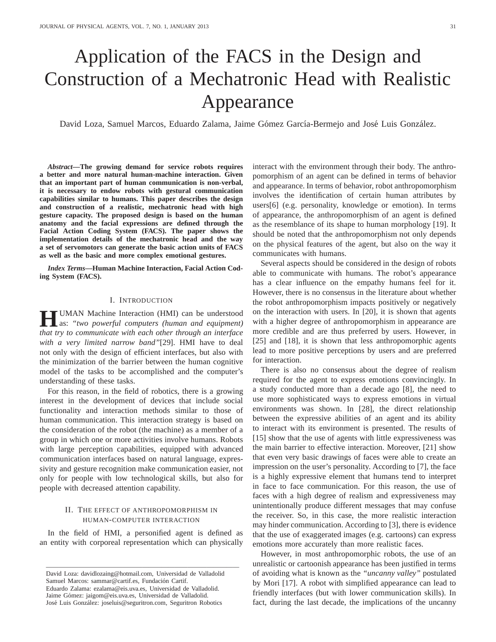# Application of the FACS in the Design and Construction of a Mechatronic Head with Realistic Appearance

David Loza, Samuel Marcos, Eduardo Zalama, Jaime Gómez García-Bermejo and José Luis González.

*Abstract***—The growing demand for service robots requires a better and more natural human-machine interaction. Given that an important part of human communication is non-verbal, it is necessary to endow robots with gestural communication capabilities similar to humans. This paper describes the design and construction of a realistic, mechatronic head with high gesture capacity. The proposed design is based on the human anatomy and the facial expressions are defined through the Facial Action Coding System (FACS). The paper shows the implementation details of the mechatronic head and the way a set of servomotors can generate the basic action units of FACS as well as the basic and more complex emotional gestures.**

*Index Terms***—Human Machine Interaction, Facial Action Coding System (FACS).**

## I. INTRODUCTION

**HUMAN** Machine Interaction (HMI) can be understood<br>as: "two powerful computers (human and equipment) as: *"two powerful computers (human and equipment) that try to communicate with each other through an interface with a very limited narrow band"*[29]. HMI have to deal not only with the design of efficient interfaces, but also with the minimization of the barrier between the human cognitive model of the tasks to be accomplished and the computer's understanding of these tasks.

For this reason, in the field of robotics, there is a growing interest in the development of devices that include social functionality and interaction methods similar to those of human communication. This interaction strategy is based on the consideration of the robot (the machine) as a member of a group in which one or more activities involve humans. Robots with large perception capabilities, equipped with advanced communication interfaces based on natural language, expressivity and gesture recognition make communication easier, not only for people with low technological skills, but also for people with decreased attention capability.

## II. THE EFFECT OF ANTHROPOMORPHISM IN HUMAN-COMPUTER INTERACTION

In the field of HMI, a personified agent is defined as an entity with corporeal representation which can physically

——————————————————————————————

interact with the environment through their body. The anthropomorphism of an agent can be defined in terms of behavior and appearance. In terms of behavior, robot anthropomorphism involves the identification of certain human attributes by users[6] (e.g. personality, knowledge or emotion). In terms of appearance, the anthropomorphism of an agent is defined as the resemblance of its shape to human morphology [19]. It should be noted that the anthropomorphism not only depends on the physical features of the agent, but also on the way it communicates with humans.

Several aspects should be considered in the design of robots able to communicate with humans. The robot's appearance has a clear influence on the empathy humans feel for it. However, there is no consensus in the literature about whether the robot anthropomorphism impacts positively or negatively on the interaction with users. In [20], it is shown that agents with a higher degree of anthropomorphism in appearance are more credible and are thus preferred by users. However, in [25] and [18], it is shown that less anthropomorphic agents lead to more positive perceptions by users and are preferred for interaction.

There is also no consensus about the degree of realism required for the agent to express emotions convincingly. In a study conducted more than a decade ago [8], the need to use more sophisticated ways to express emotions in virtual environments was shown. In [28], the direct relationship between the expressive abilities of an agent and its ability to interact with its environment is presented. The results of [15] show that the use of agents with little expressiveness was the main barrier to effective interaction. Moreover, [21] show that even very basic drawings of faces were able to create an impression on the user's personality. According to [7], the face is a highly expressive element that humans tend to interpret in face to face communication. For this reason, the use of faces with a high degree of realism and expressiveness may unintentionally produce different messages that may confuse the receiver. So, in this case, the more realistic interaction may hinder communication. According to [3], there is evidence that the use of exaggerated images (e.g. cartoons) can express emotions more accurately than more realistic faces.

However, in most anthropomorphic robots, the use of an unrealistic or cartoonish appearance has been justified in terms of avoiding what is known as the *"uncanny valley"* postulated by Mori [17]. A robot with simplified appearance can lead to friendly interfaces (but with lower communication skills). In fact, during the last decade, the implications of the uncanny

David Loza: davidlozaing@hotmail.com, Universidad de Valladolid Samuel Marcos: sammar@cartif.es, Fundación Cartif. Eduardo Zalama: ezalama@eis.uva.es, Universidad de Valladolid. Jaime Gómez: jaigom@eis.uva.es, Universidad de Valladolid. José Luis González: joseluis@seguritron.com, Seguritron Robotics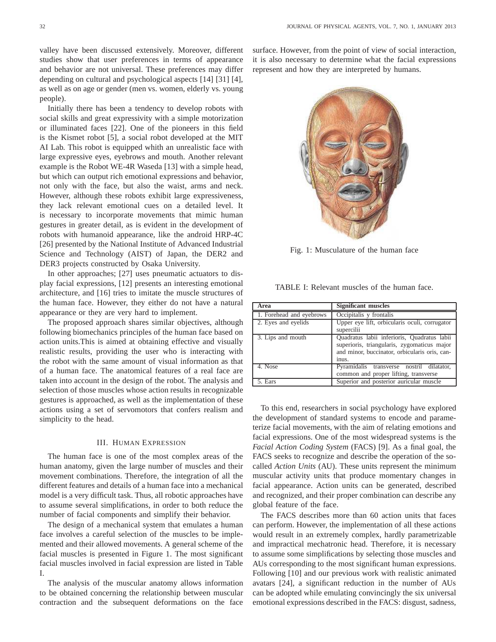valley have been discussed extensively. Moreover, different studies show that user preferences in terms of appearance and behavior are not universal. These preferences may differ depending on cultural and psychological aspects [14] [31] [4], as well as on age or gender (men vs. women, elderly vs. young people).

Initially there has been a tendency to develop robots with social skills and great expressivity with a simple motorization or illuminated faces [22]. One of the pioneers in this field is the Kismet robot [5], a social robot developed at the MIT AI Lab. This robot is equipped whith an unrealistic face with large expressive eyes, eyebrows and mouth. Another relevant example is the Robot WE-4R Waseda [13] with a simple head, but which can output rich emotional expressions and behavior, not only with the face, but also the waist, arms and neck. However, although these robots exhibit large expressiveness, they lack relevant emotional cues on a detailed level. It is necessary to incorporate movements that mimic human gestures in greater detail, as is evident in the development of robots with humanoid appearance, like the android HRP-4C [26] presented by the National Institute of Advanced Industrial Science and Technology (AIST) of Japan, the DER2 and DER3 projects constructed by Osaka University.

In other approaches; [27] uses pneumatic actuators to display facial expressions, [12] presents an interesting emotional architecture, and [16] tries to imitate the muscle structures of the human face. However, they either do not have a natural appearance or they are very hard to implement.

The proposed approach shares similar objectives, although following biomechanics principles of the human face based on action units.This is aimed at obtaining effective and visually realistic results, providing the user who is interacting with the robot with the same amount of visual information as that of a human face. The anatomical features of a real face are taken into account in the design of the robot. The analysis and selection of those muscles whose action results in recognizable gestures is approached, as well as the implementation of these actions using a set of servomotors that confers realism and simplicity to the head.

#### III. HUMAN EXPRESSION

The human face is one of the most complex areas of the human anatomy, given the large number of muscles and their movement combinations. Therefore, the integration of all the different features and details of a human face into a mechanical model is a very difficult task. Thus, all robotic approaches have to assume several simplifications, in order to both reduce the number of facial components and simplify their behavior.

The design of a mechanical system that emulates a human face involves a careful selection of the muscles to be implemented and their allowed movements. A general scheme of the facial muscles is presented in Figure 1. The most significant facial muscles involved in facial expression are listed in Table I.

The analysis of the muscular anatomy allows information to be obtained concerning the relationship between muscular contraction and the subsequent deformations on the face

surface. However, from the point of view of social interaction, it is also necessary to determine what the facial expressions represent and how they are interpreted by humans.



Fig. 1: Musculature of the human face

TABLE I: Relevant muscles of the human face.

| Area                     | <b>Significant muscles</b>                                                                                                                           |
|--------------------------|------------------------------------------------------------------------------------------------------------------------------------------------------|
| 1. Forehead and eyebrows | Occipitalis y frontalis                                                                                                                              |
| 2. Eyes and eyelids      | Upper eye lift, orbicularis oculi, corrugator<br>supercilii                                                                                          |
| 3. Lips and mouth        | Quadratus labii inferioris, Quadratus labii<br>superioris, triangularis, zygomaticus major<br>and minor, buccinator, orbicularis oris, can-<br>inus. |
| 4. Nose                  | Pyramidalis transverse nostril dilatator,<br>common and proper lifting, transverse                                                                   |
| 5. Ears                  | Superior and posterior auricular muscle                                                                                                              |

To this end, researchers in social psychology have explored the development of standard systems to encode and parameterize facial movements, with the aim of relating emotions and facial expressions. One of the most widespread systems is the *Facial Action Coding System* (FACS) [9]. As a final goal, the FACS seeks to recognize and describe the operation of the socalled *Action Units* (AU). These units represent the minimum muscular activity units that produce momentary changes in facial appearance. Action units can be generated, described and recognized, and their proper combination can describe any global feature of the face.

The FACS describes more than 60 action units that faces can perform. However, the implementation of all these actions would result in an extremely complex, hardly parametrizable and impractical mechatronic head. Therefore, it is necessary to assume some simplifications by selecting those muscles and AUs corresponding to the most significant human expressions. Following [10] and our previous work with realistic animated avatars [24], a significant reduction in the number of AUs can be adopted while emulating convincingly the six universal emotional expressions described in the FACS: disgust, sadness,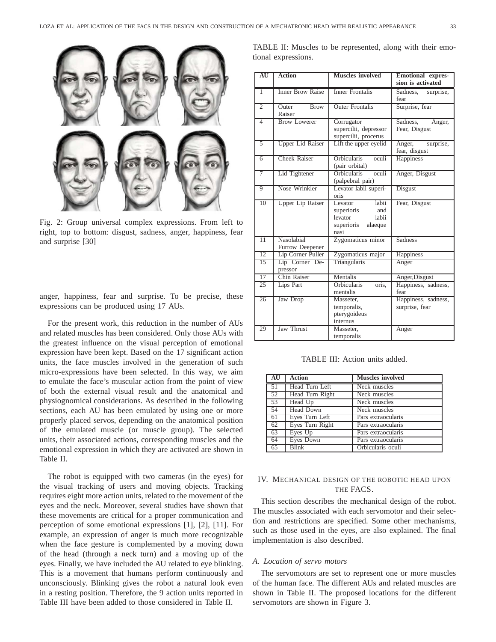

Fig. 2: Group universal complex expressions. From left to right, top to bottom: disgust, sadness, anger, happiness, fear and surprise [30]

anger, happiness, fear and surprise. To be precise, these expressions can be produced using 17 AUs.

For the present work, this reduction in the number of AUs and related muscles has been considered. Only those AUs with the greatest influence on the visual perception of emotional expression have been kept. Based on the 17 significant action units, the face muscles involved in the generation of such micro-expressions have been selected. In this way, we aim to emulate the face's muscular action from the point of view of both the external visual result and the anatomical and physiognomical considerations. As described in the following sections, each AU has been emulated by using one or more properly placed servos, depending on the anatomical position of the emulated muscle (or muscle group). The selected units, their associated actions, corresponding muscles and the emotional expression in which they are activated are shown in Table II.

The robot is equipped with two cameras (in the eyes) for the visual tracking of users and moving objects. Tracking requires eight more action units, related to the movement of the eyes and the neck. Moreover, several studies have shown that these movements are critical for a proper communication and perception of some emotional expressions [1], [2], [11]. For example, an expression of anger is much more recognizable when the face gesture is complemented by a moving down of the head (through a neck turn) and a moving up of the eyes. Finally, we have included the AU related to eye blinking. This is a movement that humans perform continuously and unconsciously. Blinking gives the robot a natural look even in a resting position. Therefore, the 9 action units reported in Table III have been added to those considered in Table II.

|  |                     |  | TABLE II: Muscles to be represented, along with their emo- |  |  |
|--|---------------------|--|------------------------------------------------------------|--|--|
|  | tional expressions. |  |                                                            |  |  |

| AU              | <b>Action</b>                         | <b>Muscles</b> involved                                                                    | <b>Emotional expres-</b><br>sion is activated |
|-----------------|---------------------------------------|--------------------------------------------------------------------------------------------|-----------------------------------------------|
| $\overline{1}$  | <b>Inner Brow Raise</b>               | Inner Frontalis                                                                            | Sadness,<br>surprise,<br>fear                 |
| $\overline{2}$  | <b>Outer</b><br><b>Brow</b><br>Raiser | <b>Outer Frontalis</b>                                                                     | Surprise, fear                                |
| $\overline{4}$  | <b>Brow Lowerer</b>                   | Corrugator<br>supercilii, depressor<br>supercilii, procerus                                | Sadness,<br>Anger,<br>Fear, Disgust           |
| 5               | <b>Upper Lid Raiser</b>               | Lift the upper eyelid                                                                      | Anger,<br>surprise,<br>fear, disgust          |
| $\overline{6}$  | <b>Cheek Raiser</b>                   | <b>Orbicularis</b><br>oculi<br>(pair orbital)                                              | <b>Happiness</b>                              |
| $\overline{7}$  | Lid Tightener                         | <b>Orbicularis</b><br>oculi<br>(palpebral pair)                                            | Anger, Disgust                                |
| 9               | Nose Wrinkler                         | Levator labii superi-<br>oris                                                              | Disgust                                       |
| 10              | <b>Upper Lip Raiser</b>               | labii<br>Levator<br>superioris<br>and<br>levator<br>labii<br>superioris<br>alaeque<br>nasi | Fear, Disgust                                 |
| $\overline{11}$ | Nasolabial<br>Furrow Deepener         | Zygomaticus minor                                                                          | Sadness                                       |
| $\overline{12}$ | Lip Corner Puller                     | Zygomaticus major                                                                          | Happiness                                     |
| $\overline{15}$ | Lip Corner De-<br>pressor             | Triangularis                                                                               | Anger                                         |
| $\overline{17}$ | Chin Raiser                           | Mentalis                                                                                   | Anger, Disgust                                |
| 25              | Lips Part                             | <b>Orbicularis</b><br>oris.<br>mentalis                                                    | Happiness, sadness,<br>fear                   |
| 26              | Jaw Drop                              | Masseter,<br>temporalis,<br>pterygoideus<br>internus                                       | Happiness, sadness,<br>surprise, fear         |
| 29              | <b>Jaw Thrust</b>                     | Masseter.<br>temporalis                                                                    | Anger                                         |

TABLE III: Action units added.

| AU | <b>Action</b>   | <b>Muscles</b> involved |
|----|-----------------|-------------------------|
| 51 | Head Turn Left  | Neck muscles            |
| 52 | Head Turn Right | Neck muscles            |
| 53 | Head Up         | Neck muscles            |
| 54 | Head Down       | Neck muscles            |
| 61 | Eyes Turn Left  | Pars extraocularis      |
| 62 | Eyes Turn Right | Pars extraocularis      |
| 63 | Eyes Up         | Pars extraocularis      |
| 64 | Eyes Down       | Pars extraocularis      |
| 65 | <b>Blink</b>    | Orbicularis oculi       |

## IV. MECHANICAL DESIGN OF THE ROBOTIC HEAD UPON THE FACS.

This section describes the mechanical design of the robot. The muscles associated with each servomotor and their selection and restrictions are specified. Some other mechanisms, such as those used in the eyes, are also explained. The final implementation is also described.

### *A. Location of servo motors*

The servomotors are set to represent one or more muscles of the human face. The different AUs and related muscles are shown in Table II. The proposed locations for the different servomotors are shown in Figure 3.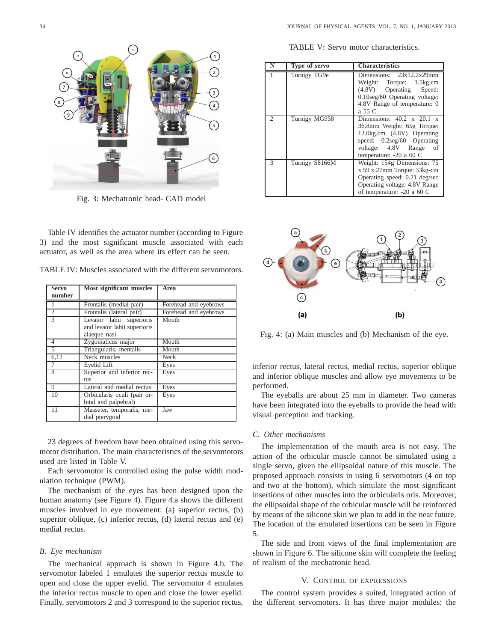TABLE V: Servo motor characteristics.

| N              | Type of servo  | <b>Characteristics</b>                                                                                                                                                                 |
|----------------|----------------|----------------------------------------------------------------------------------------------------------------------------------------------------------------------------------------|
|                | Turnigy TG9e   | Dimensions: $23x12.2x29mm$<br>Weight: Torque: 1.5kg.cm<br>(4.8V) Operating Speed:<br>0.10seg/60 Operating voltage:<br>4.8V Range of temperature: 0<br>a 55 C                           |
| $\overline{c}$ | Turnigy MG958  | Dimensions: $40.2 \times 20.1 \times$<br>36.8mm Weight: 65g Torque:<br>12.0kg.cm (4.8V) Operating<br>speed: 0.2seg/60 Operating<br>voltage: 4.8V Range of<br>temperature: $-20$ a 60 C |
| 3              | Turnigy S8166M | Weight: 154g Dimensions: 75<br>x 59 x 27mm Torque: 33kg-cm<br>Operating speed: 0.21 deg/sec<br>Operating voltage: 4.8V Range<br>of temperature: - 20 a 60 C                            |



Fig. 4: (a) Main muscles and (b) Mechanism of the eye.

inferior rectus, lateral rectus, medial rectus, superior oblique and inferior oblique muscles and allow eye movements to be performed.

The eyeballs are about 25 mm in diameter. Two cameras have been integrated into the eyeballs to provide the head with visual perception and tracking.

#### *C. Other mechanisms*

The implementation of the mouth area is not easy. The action of the orbicular muscle cannot be simulated using a single servo, given the ellipsoidal nature of this muscle. The proposed approach consists in using 6 servomotors (4 on top and two at the bottom), which simulate the most significant insertions of other muscles into the orbicularis oris. Moreover, the ellipsoidal shape of the orbicular muscle will be reinforced by means of the silicone skin we plan to add in the near future. The location of the emulated insertions can be seen in Figure 5.

The side and front views of the final implementation are shown in Figure 6. The silicone skin will complete the feeling of realism of the mechatronic head.

#### V. CONTROL OF EXPRESSIONS

The control system provides a suited, integrated action of the different servomotors. It has three major modules: the

Fig. 3: Mechatronic head- CAD model

Table IV identifies the actuator number (according to Figure 3) and the most significant muscle associated with each actuator, as well as the area where its effect can be seen.

TABLE IV: Muscles associated with the different servomotors.

| <b>Servo</b>   | Most significant muscles     | Area                  |
|----------------|------------------------------|-----------------------|
| number         |                              |                       |
|                | Frontalis (medial pair)      | Forehead and eyebrows |
| $\overline{2}$ | Frontalis (lateral pair)     | Forehead and eyebrows |
| 3              | Levator labii superioris     | Mouth                 |
|                | and levator labii superioris |                       |
|                | alaeque nasi                 |                       |
| 4              | Zygomaticus major            | Mouth                 |
| 5              | Triangularis, mentalis       | Mouth                 |
| 6,12           | Neck muscles                 | Neck                  |
|                | Evelid Lift                  | Eyes                  |
| 8              | Superior and inferior rec-   | Eyes                  |
|                | tus                          |                       |
| 9              | Lateral and medial rectus    | Eyes                  |
| 10             | Orbicularis oculi (pair or-  | Eyes                  |
|                | bital and palpebral)         |                       |
| 11             | Masseter, temporalis, me-    | Jaw                   |
|                | dial pterygoid               |                       |

23 degrees of freedom have been obtained using this servomotor distribution. The main characteristics of the servomotors used are listed in Table V.

Each servomotor is controlled using the pulse width modulation technique (PWM).

The mechanism of the eyes has been designed upon the human anatomy (see Figure 4). Figure 4.a shows the different muscles involved in eye movement: (a) superior rectus, (b) superior oblique, (c) inferior rectus, (d) lateral rectus and (e) medial rectus.

#### *B. Eye mechanism*

The mechanical approach is shown in Figure 4.b. The servomotor labeled 1 emulates the superior rectus muscle to open and close the upper eyelid. The servomotor 4 emulates the inferior rectus muscle to open and close the lower eyelid. Finally, servomotors 2 and 3 correspond to the superior rectus,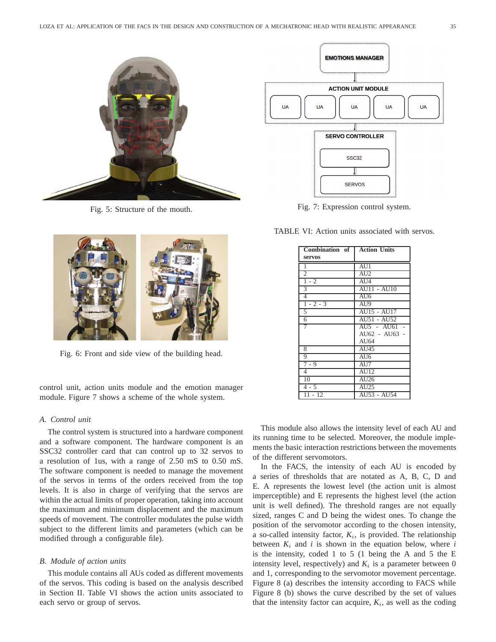

Fig. 5: Structure of the mouth.



Fig. 6: Front and side view of the building head.

control unit, action units module and the emotion manager module. Figure 7 shows a scheme of the whole system.

#### *A. Control unit*

The control system is structured into a hardware component and a software component. The hardware component is an SSC32 controller card that can control up to 32 servos to a resolution of 1us, with a range of 2.50 mS to 0.50 mS. The software component is needed to manage the movement of the servos in terms of the orders received from the top levels. It is also in charge of verifying that the servos are within the actual limits of proper operation, taking into account the maximum and minimum displacement and the maximum speeds of movement. The controller modulates the pulse width subject to the different limits and parameters (which can be modified through a configurable file).

#### *B. Module of action units*

This module contains all AUs coded as different movements of the servos. This coding is based on the analysis described in Section II. Table VI shows the action units associated to each servo or group of servos.



Fig. 7: Expression control system.

TABLE VI: Action units associated with servos.

| Combination of | <b>Action Units</b>       |
|----------------|---------------------------|
| <b>servos</b>  |                           |
| 1              | AU1                       |
| $\overline{2}$ | AU2                       |
| $1 - 2$        | AI14                      |
| 3              | <b>AU11 - AU10</b>        |
| 4              | AU6                       |
| $1 - 2 - 3$    | $\overline{\mathrm{AU9}}$ |
| 5              | AU15 - AU17               |
| 6              | AU51 - AU52               |
| 7              | AU5 - AU61 -              |
|                | AU62 - AU63 -             |
|                | AU64                      |
| 8              | AU45                      |
| 9              | $\overline{A}$ U6         |
| $7 - 9$        | AU7                       |
| $\overline{4}$ | AI112                     |
| 10             | AU26                      |
| $4 - 5$        | AU25                      |
| $11 - 12$      | AU53 - AU54               |

This module also allows the intensity level of each AU and its running time to be selected. Moreover, the module implements the basic interaction restrictions between the movements of the different servomotors.

In the FACS, the intensity of each AU is encoded by a series of thresholds that are notated as A, B, C, D and E. A represents the lowest level (the action unit is almost imperceptible) and E represents the highest level (the action unit is well defined). The threshold ranges are not equally sized, ranges C and D being the widest ones. To change the position of the servomotor according to the chosen intensity, a so-called intensity factor,  $K_i$ , is provided. The relationship between  $K_i$  and  $i$  is shown in the equation below, where  $i$ is the intensity, coded 1 to 5 (1 being the A and 5 the E intensity level, respectively) and  $K_i$  is a parameter between 0 and 1, corresponding to the servomotor movement percentage. Figure 8 (a) describes the intensity according to FACS while Figure 8 (b) shows the curve described by the set of values that the intensity factor can acquire,  $K_i$ , as well as the coding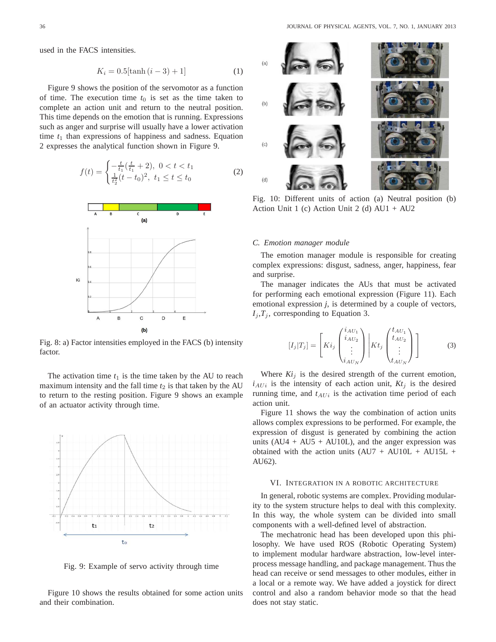used in the FACS intensities.

$$
K_i = 0.5[\tanh (i - 3) + 1]
$$
 (1)

Figure 9 shows the position of the servomotor as a function of time. The execution time  $t_0$  is set as the time taken to complete an action unit and return to the neutral position. This time depends on the emotion that is running. Expressions such as anger and surprise will usually have a lower activation time  $t_1$  than expressions of happiness and sadness. Equation 2 expresses the analytical function shown in Figure 9.

$$
f(t) = \begin{cases} -\frac{t}{t_1}(\frac{t}{t_1} + 2), & 0 < t < t_1\\ \frac{1}{t_2^2}(t - t_0)^2, & t_1 \le t \le t_0 \end{cases}
$$
 (2)



Fig. 8: a) Factor intensities employed in the FACS (b) intensity factor.

The activation time  $t_1$  is the time taken by the AU to reach maximum intensity and the fall time  $t_2$  is that taken by the AU to return to the resting position. Figure 9 shows an example of an actuator activity through time.



Fig. 9: Example of servo activity through time

Figure 10 shows the results obtained for some action units and their combination.



Fig. 10: Different units of action (a) Neutral position (b) Action Unit 1 (c) Action Unit 2 (d) AU1 + AU2

#### *C. Emotion manager module*

The emotion manager module is responsible for creating complex expressions: disgust, sadness, anger, happiness, fear and surprise.

The manager indicates the AUs that must be activated for performing each emotional expression (Figure 11). Each emotional expression *j*, is determined by a couple of vectors,  $I_i, T_i$ , corresponding to Equation 3.

$$
[I_j|T_j] = \left[Ki_j \begin{pmatrix} i_{AU_1} \\ i_{AU_2} \\ \vdots \\ i_{AU_N} \end{pmatrix} \middle| Kt_j \begin{pmatrix} t_{AU_1} \\ t_{AU_2} \\ \vdots \\ t_{AU_N} \end{pmatrix} \right]
$$
(3)

Where  $Ki_j$  is the desired strength of the current emotion,  $i_{AUI}$  is the intensity of each action unit,  $Kt_i$  is the desired running time, and  $t_{AUI}$  is the activation time period of each action unit.

Figure 11 shows the way the combination of action units allows complex expressions to be performed. For example, the expression of disgust is generated by combining the action units  $(AU4 + AU5 + AU10L)$ , and the anger expression was obtained with the action units  $(AU7 + AU10L + AU15L +$ AU62).

#### VI. INTEGRATION IN A ROBOTIC ARCHITECTURE

In general, robotic systems are complex. Providing modularity to the system structure helps to deal with this complexity. In this way, the whole system can be divided into small components with a well-defined level of abstraction.

The mechatronic head has been developed upon this philosophy. We have used ROS (Robotic Operating System) to implement modular hardware abstraction, low-level interprocess message handling, and package management. Thus the head can receive or send messages to other modules, either in a local or a remote way. We have added a joystick for direct control and also a random behavior mode so that the head does not stay static.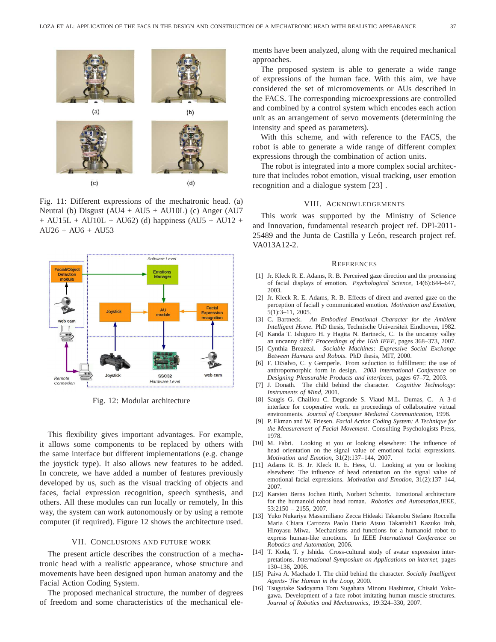

Fig. 11: Different expressions of the mechatronic head. (a) Neutral (b) Disgust  $(AU4 + AU5 + AU10L)$  (c) Anger  $(AU7)$  $+$  AU15L + AU10L + AU62) (d) happiness (AU5 + AU12 +  $AU26 + AU6 + AU53$ 



Fig. 12: Modular architecture

This flexibility gives important advantages. For example, it allows some components to be replaced by others with the same interface but different implementations (e.g. change the joystick type). It also allows new features to be added. In concrete, we have added a number of features previously developed by us, such as the visual tracking of objects and faces, facial expression recognition, speech synthesis, and others. All these modules can run locally or remotely, In this way, the system can work autonomously or by using a remote computer (if required). Figure 12 shows the architecture used.

#### VII. CONCLUSIONS AND FUTURE WORK

The present article describes the construction of a mechatronic head with a realistic appearance, whose structure and movements have been designed upon human anatomy and the Facial Action Coding System.

The proposed mechanical structure, the number of degrees of freedom and some characteristics of the mechanical elements have been analyzed, along with the required mechanical approaches.

The proposed system is able to generate a wide range of expressions of the human face. With this aim, we have considered the set of micromovements or AUs described in the FACS. The corresponding microexpressions are controlled and combined by a control system which encodes each action unit as an arrangement of servo movements (determining the intensity and speed as parameters).

With this scheme, and with reference to the FACS, the robot is able to generate a wide range of different complex expressions through the combination of action units.

The robot is integrated into a more complex social architecture that includes robot emotion, visual tracking, user emotion recognition and a dialogue system [23] .

#### VIII. ACKNOWLEDGEMENTS

This work was supported by the Ministry of Science and Innovation, fundamental research project ref. DPI-2011- 25489 and the Junta de Castilla y León, research project ref. VA013A12-2.

#### **REFERENCES**

- [1] Jr. Kleck R. E. Adams, R. B. Perceived gaze direction and the processing of facial displays of emotion. *Psychological Science*, 14(6):644–647, 2003.
- [2] Jr. Kleck R. E. Adams, R. B. Effects of direct and averted gaze on the perception of faciall y communicated emotion. *Motivation and Emotion*, 5(1):3–11, 2005.
- [3] C. Bartneck. *An Embodied Emotional Character for the Ambient Intelligent Home*. PhD thesis, Technische Universiteit Eindhoven, 1982.
- [4] Kanda T. Ishiguro H. y Hagita N. Bartneck, C. Is the uncanny valley an uncanny cliff? *Proceedings of the 16th IEEE*, pages 368–373, 2007.
- [5] Cynthia Breazeal. *Sociable Machines: Expressive Social Exchange Between Humans and Robots*. PhD thesis, MIT, 2000.
- [6] F. DiSalvo, C. y Gemperle. From seduction to fulfillment: the use of anthropomorphic form in design. *2003 international Conference on Designing Pleasurable Products and interfaces*, pages 67–72, 2003.
- [7] J. Donath. The child behind the character. *Cognitive Technology: Instruments of Mind*, 2001.
- [8] Saugis G. Chaillou C. Degrande S. Viaud M.L. Dumas, C. A 3-d interface for cooperative work. en proceedings of collaborative virtual environments. *Journal of Computer Mediated Communication*, 1998.
- [9] P. Ekman and W. Friesen. *Facial Action Coding System: A Technique for the Measurement of Facial Movement*. Consulting Psychologists Press, 1978.
- [10] M. Fabri. Looking at you or looking elsewhere: The influence of head orientation on the signal value of emotional facial expressions. *Motivation and Emotion*, 31(2):137–144, 2007.
- [11] Adams R. B. Jr. Kleck R. E. Hess, U. Looking at you or looking elsewhere: The influence of head orientation on the signal value of emotional facial expressions. *Motivation and Emotion*, 31(2):137–144, 2007.
- [12] Karsten Berns Jochen Hirth, Norbert Schmitz. Emotional architecture for the humanoid robot head roman. *Robotics and Automation,IEEE*, 53:2150 – 2155, 2007.
- [13] Yuko Nukariya Massimiliano Zecca Hideaki Takanobu Stefano Roccella Maria Chiara Carrozza Paolo Dario Atsuo Takanishi1 Kazuko Itoh, Hiroyasu Miwa. Mechanisms and functions for a humanoid robot to express human-like emotions. In *IEEE International Conference on Robotics and Automation*, 2006.
- [14] T. Koda, T. y Ishida. Cross-cultural study of avatar expression interpretations. *International Symposium on Applications on internet*, pages 130–136, 2006.
- [15] Paiva A. Machado I. The child behind the character. *Socially Intelligent Agents- The Human in the Loop*, 2000.
- [16] Tsugutake Sadoyama Toru Sugahara Minoru Hashimot, Chisaki Yokogawa. Development of a face robot imitating human muscle structures. *Journal of Robotics and Mechatronics*, 19:324–330, 2007.